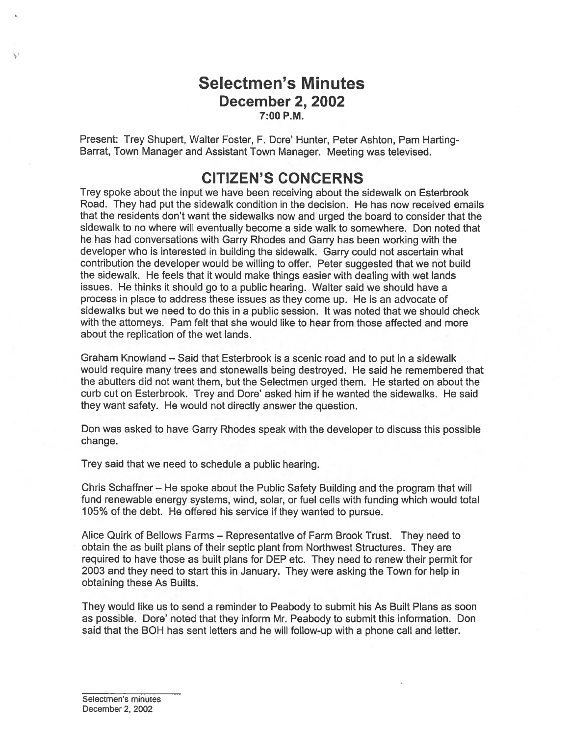## Selectmen's Minutes December 2, 2002 7:00 P.M.

Present: Trey Shupert, Walter Foster, F. Dore' Hunter, Peter Ashton, Pam Harting-Barrat, Town Manager and Assistant Town Manager. Meeting was televised.

## CITIZEN'S CONCERNS

Trey spoke about the input we have been receiving about the sidewalk on Esterbrook Road. They had pu<sup>t</sup> the sidewalk condition in the decision. He has now received emails that the residents don't want the sidewalks now and urged the board to consider that the sidewalk to no where will eventually become <sup>a</sup> side walk to somewhere. Don noted that he has had conversations with Garry Rhodes and Garry has been working with the developer who is interested in building the sidewalk. Garry could not ascertain what contribution the developer would be willing to offer. Peter suggested that we not build the sidewalk. He feels that it would make things easier with dealing with wet lands issues. He thinks it should go to <sup>a</sup> public hearing. Walter said we should have <sup>a</sup> process in place to address these issues as they come up. He is an advocate of sidewalks but we need to do this in <sup>a</sup> public session. It was noted that we should check with the attorneys. Pam felt that she would like to hear from those affected and more about the replication of the wet lands.

Graham Knowland — Said that Esterbrook is <sup>a</sup> scenic road and to pu<sup>t</sup> in <sup>a</sup> sidewalk would require many trees and stonewalls being destroyed. He said he remembered that the abutters did not want them, but the Selectmen urged them. He started on about the curb cut on Esterbrook. Trey and Dore' asked him if he wanted the sidewalks. He said they want safety. He would not directly answer the question.

Don was asked to have Garry Rhodes speak with the developer to discuss this possible change.

Trey said that we need to schedule <sup>a</sup> public hearing.

Chris Schaffner — He spoke about the Public Safety Building and the program that will fund renewable energy systems, wind, solar, or fuel cells with funding which would total 105% of the debt. He offered his service if they wanted to pursue.

Alice Quirk of Bellows Farms — Representative of Farm Brook Trust. They need to obtain the as built plans of their septic plant from Northwest Structures. They are required to have those as built plans for DEP etc. They need to renew their permit for 2003 and they need to start this in January. They were asking the Town for help in obtaining these As Builts.

They would like us to send <sup>a</sup> reminder to Peabody to submit his As Built Plans as soon as possible. Dore' noted that they inform Mr. Peabody to submit this information. Don said that the BQH has sent letters and he will follow-up with <sup>a</sup> phone call and letter.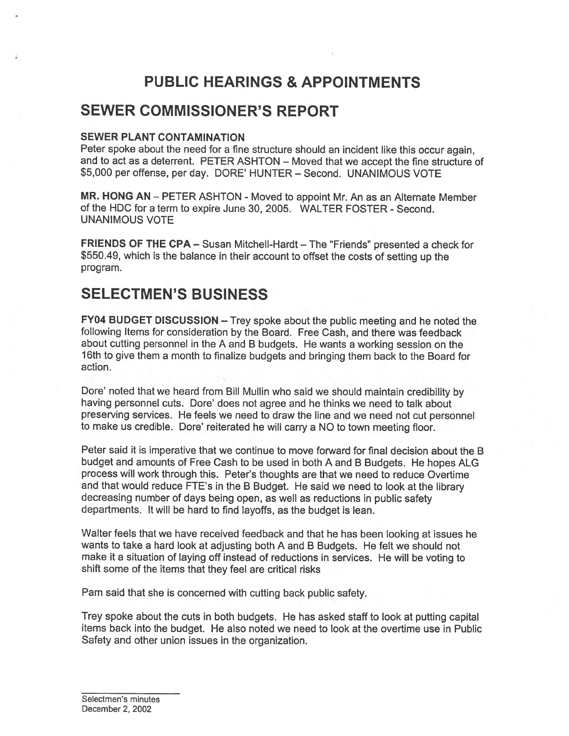# PUBLIC HEARINGS & APPOINTMENTS

## SEWER COMMISSIONER'S REPORT

#### SEWER PLANT CONTAMINATION

Peter spoke about the need for <sup>a</sup> fine structure should an incident like this occur again, and to act as <sup>a</sup> deterrent. PETER ASHTON — Moved that we accep<sup>t</sup> the fine structure of \$5,000 per offense, per day. DORE' HUNTER — Second. UNANIMOUS VOTE

MR. HONG AN — PETER ASHTON - Moved to appoint Mr. An as an Alternate Member of the HDC for <sup>a</sup> term to expire June 30, 2005. WALTER FOSTER - Second. UNANIMOUS VOTE

FRIENDS OF THE CPA — Susan MitchelI-Hardt — The "Friends" presented <sup>a</sup> check for \$550.49, which is the balance in their account to offset the costs of setting up the program.

## SELECTMEN'S BUSINESS

FY04 BUDGET DISCUSSION — Trey spoke about the public meeting and he noted the following Items for consideration by the Board. Free Cash, and there was feedback about cutting personne<sup>l</sup> in the <sup>A</sup> and <sup>B</sup> budgets. He wants <sup>a</sup> working session on the 16th to <sup>g</sup>ive them <sup>a</sup> month to finalize budgets and bringing them back to the Board for action.

Dore' noted that we heard from Bill Mullin who said we should maintain credibility by having personnel cuts. Dore' does not agree and he thinks we need to talk about preserving services. He feels we need to draw the line and we need not cut personne<sup>l</sup> to make us credible. Dore' reiterated he will carry <sup>a</sup> NO to town meeting floor.

Peter said it is imperative that we continue to move forward for final decision about the B budget and amounts of Free Cash to be used in both <sup>A</sup> and <sup>B</sup> Budgets. He hopes ALG process will work through this. Peter's thoughts are that we need to reduce Overtime and that would reduce FTE's in the <sup>B</sup> Budget. He said we need to look at the library decreasing number of days being open, as well as reductions in public safety departments. It will be hard to find layoffs, as the budget is lean.

Walter feels that we have received feedback and that he has been looking at issues he wants to take <sup>a</sup> hard look at adjusting both A and <sup>B</sup> Budgets. He felt we should not make it <sup>a</sup> situation of laying off instead of reductions in services. He will be voting to shift some of the items that they feel are critical risks

Pam said that she is concerned with cutting back public safety.

Trey spoke about the cuts in both budgets. He has asked staff to look at putting capital items back into the budget. He also noted we need to look at the overtime use in Public Safety and other union issues in the organization.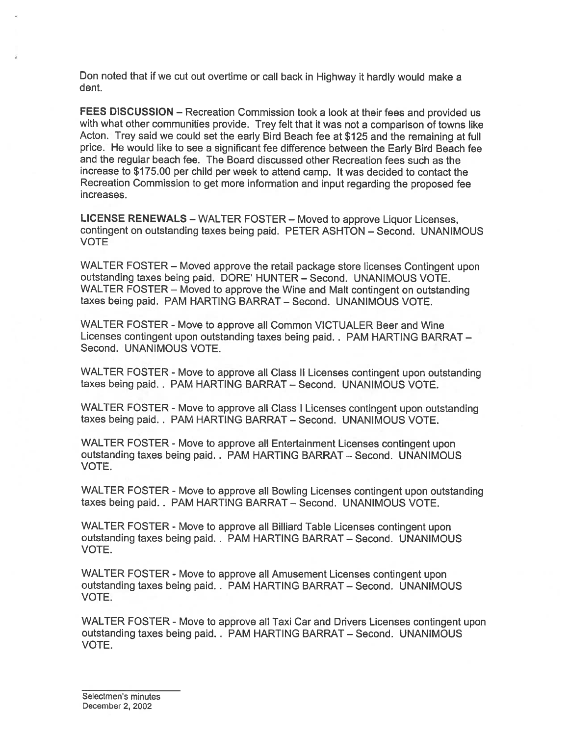Don noted that if we cut out overtime or call back in Highway it hardly would make <sup>a</sup> dent.

FEES DISCUSSION - Recreation Commission took a look at their fees and provided us with what other communities provide. Trey felt that it was not <sup>a</sup> comparison of towns like Acton. Trey said we could set the early Bird Beach fee at \$125 and the remaining at full price. He would like to see <sup>a</sup> significant fee difference between the Early Bird Beach fee and the regular beach fee. The Board discussed other Recreation fees such as the increase to \$175.00 per child per week to attend camp. It was decided to contact the Recreation Commission to ge<sup>t</sup> more information and input regarding the propose<sup>d</sup> fee increases.

LICENSE RENEWALS — WALTER FOSTER — Moved to approve Liquor Licenses, contingent on outstanding taxes being paid. PETER ASHTON — Second. UNANIMOUS VOTE

WALTER FOSTER — Moved approve the retail package store licenses Contingent upon outstanding taxes being paid. DORE' HUNTER — Second. UNANIMOUS VOTE. WALTER FOSTER — Moved to approve the Wine and Malt contingent on outstanding taxes being paid. PAM HARTING BARRAT — Second. UNANIMOUS VOTE.

WALTER FOSTER - Move to approve all Common VICTUALER Beer and Wine Licenses contingent upon outstanding taxes being paid. . PAM HARTING BARRAT — Second. UNANIMOUS VOTE.

WALTER FOSTER - Move to approve all Class II Licenses contingent upon outstanding taxes being paid.. PAM HARTING BARRAT — Second. UNANIMOUS VOTE.

WALTER FOSTER - Move to approve all Class <sup>I</sup> Licenses contingent upon outstanding taxes being paid.. PAM HARTING BARRAT — Second. UNANIMOUS VOTE.

WALTER FOSTER - Move to approve all Entertainment Licenses contingent upon outstanding taxes being paid. . PAM HARTING BARRAT — Second. UNANIMOUS VOTE.

WALTER FOSTER - Move to approve all Bowling Licenses contingent upon outstanding taxes being paid.. PAM HARTING BARRAT — Second. UNANIMOUS VOTE.

WALTER FOSTER - Move to approve all Billiard Table Licenses contingent upon outstanding taxes being paid.. PAM HARTING BARRAT — Second. UNANIMOUS VOTE.

WALTER FOSTER - Move to approve all Amusement Licenses contingent upon outstanding taxes being paid. . PAM HARTING BARRAT — Second. UNANIMOUS VOTE.

WALTER FOSTER - Move to approve all Taxi Car and Drivers Licenses contingent upon outstanding taxes being paid. . PAM HARTING BARRAT — Second. UNANIMOUS VOTE.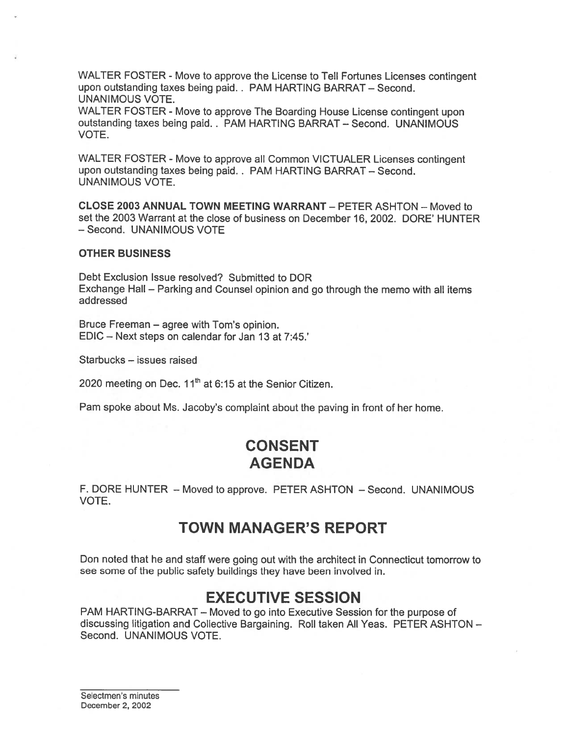WALTER FOSTER - Move to approve the License to Tell Fortunes Licenses contingent upon outstanding taxes being paid. . PAM HARTING BARRAT — Second. UNANIMOUS VOTE.

WALTER FOSTER - Move to approve The Boarding House License contingent upon outstanding taxes being paid.. PAM HARTING BARRAT — Second. UNANIMOUS VOTE.

WALTER FOSTER - Move to approve all Common VICTUALER Licenses contingent upon outstanding taxes being paid. . PAM HARTING BARRAT — Second. UNANIMOUS VOTE.

CLOSE 2003 ANNUAL TOWN MEETING WARRANT — PETER ASHTON — Moved to set the 2003 Warrant at the close of business on December 16, 2002. DORE' HUNTER — Second. UNANIMOUS VOTE

#### OTHER BUSINESS

Debt Exclusion Issue resolved? Submitted to DOR Exchange Hall — Parking and Counsel opinion and go through the memo with all items addressed

Bruce Freeman — agree with Tom's opinion. EDIC — Next steps on calendar for Jan 13 at 7:45.'

Starbucks — issues raised

2020 meeting on Dec.  $11<sup>th</sup>$  at 6:15 at the Senior Citizen.

Pam spoke about Ms. Jacoby's complaint about the paving in front of her home.

## CONSENT AGENDA

F. DORE HUNTER — Moved to approve. PETER ASHTON — Second. UNANIMOUS VOTE.

## TOWN MANAGER'S REPORT

Don noted that he and staff were going out with the architect in Connecticut tomorrow to see some of the public safety buildings they have been involved in.

## EXECUTIVE SESSION

PAM HARTING-BARRAT — Moved to go into Executive Session for the purpose of discussing litigation and Collective Bargaining. Roll taken All Yeas. PETER ASHTON — Second. UNANIMOUS VOTE.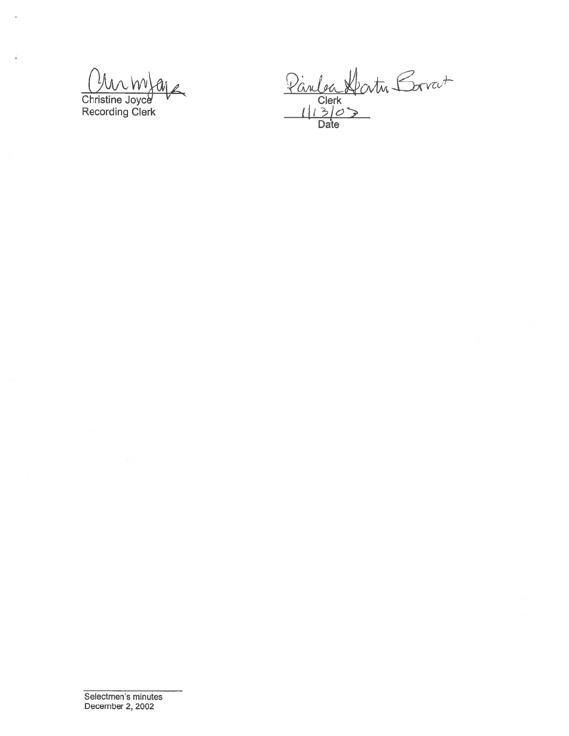Christine Joyce<br>Recording Clerk

(,JA'x icv Recording Clerk (1 J)<br>Recording Clerk Date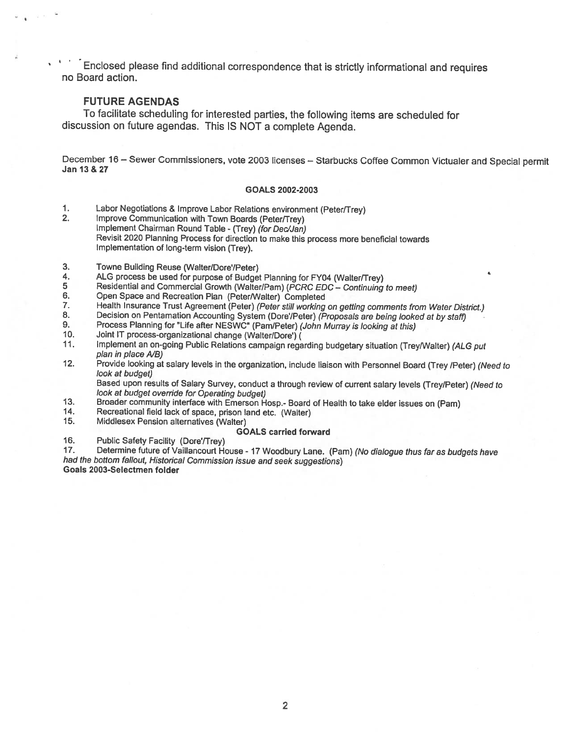-Enclosed <sup>p</sup>lease find additional correspondence that is strictly informational and requires no Board action.

#### FUTURE AGENDAS

 $(21 - 5)$ 

To facilitate scheduling for interested parties, the following items are scheduled for discussion on future agendas. This IS NOT <sup>a</sup> complete Agenda.

December 16 – Sewer Commissioners, vote 2003 licenses – Starbucks Coffee Common Victualer and Special permit<br>Jan 13 & 27

#### GOALS 2002-2003

- 1. Labor Negotiations & Improve Labor Relations environment (Peter/Trey)<br>2. Improve Communication with Town Boards (Peter/Trey)
- Improve Communication with Town Boards (Peter/Trey) Implement Chairman Round Table - (Trey) (for Dec/Jan) Revisit <sup>2020</sup> Planning Process for direction to make this process more beneficial towards Implementation of long-term vision (Trey).
- 3. Towne Building Reuse (Walter/Dore'/Peter)
- 4. ALG process be used for purpose of Budget Planning for FY04 (Walter/Trey)<br>5 Residential and Commercial Growth (Walter/Pam) (*PCRC EDC Continuing*
- 5 Residential and Commercial Growth (Walter/Pam) (*PCRC EDC Continuing to meet)*<br>6. Open Space and Recreation Plan (Peter/Walter) Completed
- 6. Open Space and Recreation Plan (Peter/Walter) Completed<br>7. Health Insurance Trust Agreement (Peter) (Peter still working
- 7. Health Insurance Trust Agreement (Peter) (Peter still working on getting comments from Water District.)<br>8. Decision on Pentamation Accounting System (Dore'/Peter) (Proposals are being looked at by staff)
- 8. Decision on Pentamation Accounting System (Dore'/Peter) (Proposals are being looked at by staff)<br>9. Process Planning for "Life after NESWC" (Pam/Peter) (John Murray is looking at this)
- 9. Process Planning for "Life after NESWC" (Pam/Peter) (John Murray is looking at this)<br>10. Joint IT process-organizational change (Walter/Dore') (
- 10. Joint IT process-organizational change (Walter/Dore') (<br>11. Implement an on-going Public Relations campaion rega
- Implement an on-going Public Relations campaign regarding budgetary situation (Trey/Walter) (ALG put plan in place A/B)
- 12. Provide looking at salary levels in the organization, include liaison with Personnel Board (Trey /Peter) (Need to look at budget)

Based upon results of Salary Survey, conduct <sup>a</sup> through review of current salary levels (Trey/Peter) (Need to look at budget override for Operating budget)

- 13. Broader community interface with Emerson Hosp.- Board of Health to take elder issues on (Pam) 14. Recreational field lack of space, prison land etc. (Walter)
- 
- 15. Middlesex Pension alternatives (Walter)

#### GOALS carried forward

16. Public Safety Facility (Dore'/Trey)

17. Determine future of Vaillancourt House - 17 Woodbury Lane. (Pam) (No dialogue thus far as budgets have had the bottom fallout, Historical Commission issue and seek suggestions) Goals 2003-Selectmen folder